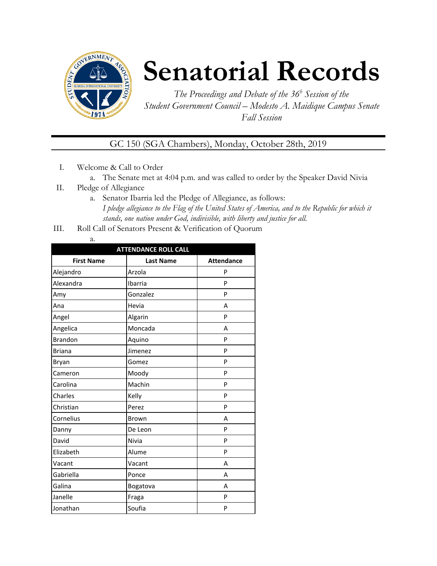

# **Senatorial Records**

*The Proceedings and Debate of the 36 <sup>h</sup> Session of the Student Government Council – Modesto A. Maidique Campus Senate Fall Session*

GC 150 (SGA Chambers), Monday, October 28th, 2019

- I. Welcome & Call to Order
	- a. The Senate met at 4:04 p.m. and was called to order by the Speaker David Nivia
- II. Pledge of Allegiance
	- a. Senator Ibarria led the Pledge of Allegiance, as follows: *I pledge allegiance to the Flag of the United States of America, and to the Republic for which it stands, one nation under God, indivisible, with liberty and justice for all.*
- III. Roll Call of Senators Present & Verification of Quorum
	- a.

| <b>ATTENDANCE ROLL CALL</b> |                  |                   |  |
|-----------------------------|------------------|-------------------|--|
| <b>First Name</b>           | <b>Last Name</b> | <b>Attendance</b> |  |
| Alejandro                   | Arzola           | P                 |  |
| Alexandra                   | Ibarria          | P                 |  |
| Amy                         | Gonzalez         | P                 |  |
| Ana                         | Hevia            | A                 |  |
| Angel                       | Algarin          | P                 |  |
| Angelica                    | Moncada          | A                 |  |
| <b>Brandon</b>              | Aquino           | P                 |  |
| <b>Briana</b>               | Jimenez          | P                 |  |
| Bryan                       | Gomez            | P                 |  |
| Cameron                     | Moody            | P                 |  |
| Carolina                    | Machin           | P                 |  |
| Charles                     | Kelly            | P                 |  |
| Christian                   | Perez            | P                 |  |
| Cornelius                   | Brown            | A                 |  |
| Danny                       | De Leon          | P                 |  |
| David                       | Nivia            | P                 |  |
| Elizabeth                   | Alume            | P                 |  |
| Vacant                      | Vacant           | A                 |  |
| Gabriella                   | Ponce            | A                 |  |
| Galina                      | Bogatova         | A                 |  |
| Janelle                     | Fraga            | P                 |  |
| Jonathan                    | Soufia           | P                 |  |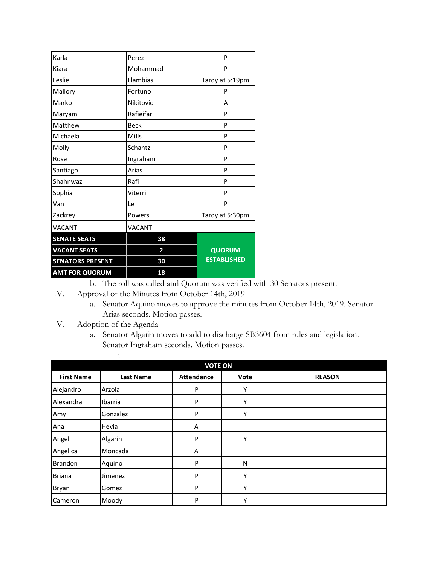| <b>AMT FOR QUORUM</b>   | 18            |                    |
|-------------------------|---------------|--------------------|
| <b>SENATORS PRESENT</b> | 30            | <b>ESTABLISHED</b> |
| <b>VACANT SEATS</b>     | 2             | <b>QUORUM</b>      |
| <b>SENATE SEATS</b>     | 38            |                    |
| <b>VACANT</b>           | <b>VACANT</b> |                    |
| Zackrey                 | Powers        | Tardy at 5:30pm    |
| Van                     | Le            | P                  |
| Sophia                  | Viterri       | P                  |
| Shahnwaz                | Rafi          | P                  |
| Santiago                | Arias         | P                  |
| Rose                    | Ingraham      | P                  |
| Molly                   | Schantz       | P                  |
| Michaela                | Mills         | P                  |
| Matthew                 | Beck          | P                  |
| Maryam                  | Rafieifar     | P                  |
| Marko                   | Nikitovic     | А                  |
| Mallory                 | Fortuno       | P                  |
| Leslie                  | Llambias      | Tardy at 5:19pm    |
| Kiara                   | Mohammad      | P                  |
| Karla                   | Perez         | P                  |

b. The roll was called and Quorum was verified with 30 Senators present.

- IV. Approval of the Minutes from October 14th, 2019
	- a. Senator Aquino moves to approve the minutes from October 14th, 2019. Senator Arias seconds. Motion passes.
- V. Adoption of the Agenda
	- a. Senator Algarin moves to add to discharge SB3604 from rules and legislation. Senator Ingraham seconds. Motion passes. i.

| <b>VOTE ON</b>    |                  |                   |      |               |
|-------------------|------------------|-------------------|------|---------------|
| <b>First Name</b> | <b>Last Name</b> | <b>Attendance</b> | Vote | <b>REASON</b> |
| Alejandro         | Arzola           | P                 | Υ    |               |
| Alexandra         | Ibarria          | P                 | Υ    |               |
| Amy               | Gonzalez         | P                 | Υ    |               |
| Ana               | Hevia            | Α                 |      |               |
| Angel             | Algarin          | P                 | Υ    |               |
| Angelica          | Moncada          | Α                 |      |               |
| <b>Brandon</b>    | Aquino           | P                 | N    |               |
| <b>Briana</b>     | Jimenez          | P                 | ۷    |               |
| Bryan             | Gomez            | P                 | Υ    |               |
| Cameron           | Moody            | P                 | Υ    |               |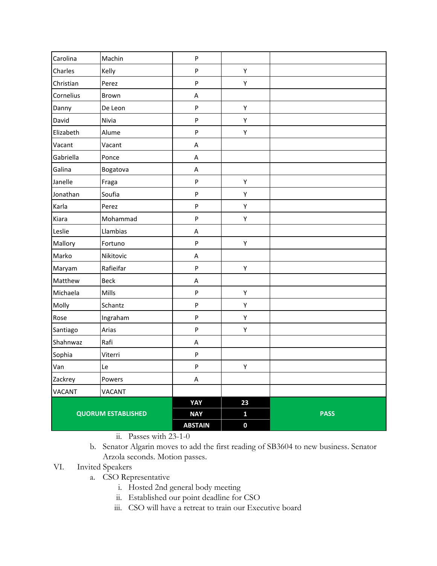| Carolina                  | Machin      | ${\sf P}$                 |                  |             |
|---------------------------|-------------|---------------------------|------------------|-------------|
| Charles                   | Kelly       | ${\sf P}$                 | Υ                |             |
| Christian                 | Perez       | ${\sf P}$                 | Υ                |             |
| Cornelius                 | Brown       | A                         |                  |             |
| Danny                     | De Leon     | ${\sf P}$                 | Υ                |             |
| David                     | Nivia       | ${\sf P}$                 | Υ                |             |
| Elizabeth                 | Alume       | ${\sf P}$                 | Υ                |             |
| Vacant                    | Vacant      | A                         |                  |             |
| Gabriella                 | Ponce       | A                         |                  |             |
| Galina                    | Bogatova    | A                         |                  |             |
| Janelle                   | Fraga       | $\boldsymbol{\mathsf{P}}$ | Υ                |             |
| Jonathan                  | Soufia      | ${\sf P}$                 | Υ                |             |
| Karla                     | Perez       | ${\sf P}$                 | Υ                |             |
| Kiara                     | Mohammad    | ${\sf P}$                 | Υ                |             |
| Leslie                    | Llambias    | A                         |                  |             |
| Mallory                   | Fortuno     | ${\sf P}$                 | Υ                |             |
| Marko                     | Nikitovic   | A                         |                  |             |
| Maryam                    | Rafieifar   | ${\sf P}$                 | Υ                |             |
| Matthew                   | <b>Beck</b> | А                         |                  |             |
| Michaela                  | Mills       | ${\sf P}$                 | Υ                |             |
| Molly                     | Schantz     | ${\sf P}$                 | Υ                |             |
| Rose                      | Ingraham    | $\sf P$                   | Υ                |             |
| Santiago                  | Arias       | ${\sf P}$                 | Υ                |             |
| Shahnwaz                  | Rafi        | A                         |                  |             |
| Sophia                    | Viterri     | ${\sf P}$                 |                  |             |
| Van                       | Le          | ${\sf P}$                 | Υ                |             |
| Zackrey                   | Powers      | A                         |                  |             |
| <b>VACANT</b>             | VACANT      |                           |                  |             |
|                           |             | YAY                       | 23               |             |
| <b>QUORUM ESTABLISHED</b> |             | <b>NAY</b>                | $\mathbf{1}$     | <b>PASS</b> |
|                           |             | <b>ABSTAIN</b>            | $\boldsymbol{0}$ |             |

- ii. Passes with 23-1-0
- b. Senator Algarin moves to add the first reading of SB3604 to new business. Senator Arzola seconds. Motion passes.

#### VI. Invited Speakers

- a. CSO Representative
	- i. Hosted 2nd general body meeting
	- ii. Established our point deadline for CSO
	- iii. CSO will have a retreat to train our Executive board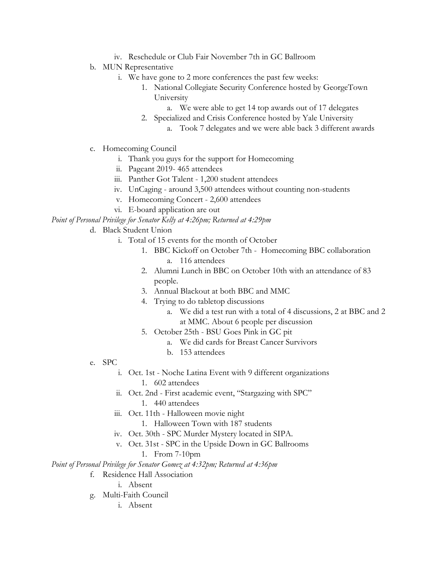- iv. Reschedule or Club Fair November 7th in GC Ballroom
- b. MUN Representative
	- i. We have gone to 2 more conferences the past few weeks:
		- 1. National Collegiate Security Conference hosted by GeorgeTown University
			- a. We were able to get 14 top awards out of 17 delegates
		- 2. Specialized and Crisis Conference hosted by Yale University
			- a. Took 7 delegates and we were able back 3 different awards
- c. Homecoming Council
	- i. Thank you guys for the support for Homecoming
	- ii. Pageant 2019- 465 attendees
	- iii. Panther Got Talent 1,200 student attendees
	- iv. UnCaging around 3,500 attendees without counting non-students
	- v. Homecoming Concert 2,600 attendees
	- vi. E-board application are out

#### *Point of Personal Privilege for Senator Kelly at 4:26pm; Returned at 4:29pm*

- d. Black Student Union
	- i. Total of 15 events for the month of October
		- 1. BBC Kickoff on October 7th Homecoming BBC collaboration a. 116 attendees
		- 2. Alumni Lunch in BBC on October 10th with an attendance of 83 people.
		- 3. Annual Blackout at both BBC and MMC
		- 4. Trying to do tabletop discussions
			- a. We did a test run with a total of 4 discussions, 2 at BBC and 2 at MMC. About 6 people per discussion
		- 5. October 25th BSU Goes Pink in GC pit
			- a. We did cards for Breast Cancer Survivors
			- b. 153 attendees
- e. SPC
	- i. Oct. 1st Noche Latina Event with 9 different organizations
		- 1. 602 attendees
	- ii. Oct. 2nd First academic event, "Stargazing with SPC" 1. 440 attendees
		-
	- iii. Oct. 11th Halloween movie night
		- 1. Halloween Town with 187 students
	- iv. Oct. 30th SPC Murder Mystery located in SIPA.
	- v. Oct. 31st SPC in the Upside Down in GC Ballrooms
		- 1. From 7-10pm

*Point of Personal Privilege for Senator Gomez at 4:32pm; Returned at 4:36pm*

- f. Residence Hall Association
	- i. Absent
- g. Multi-Faith Council
	- i. Absent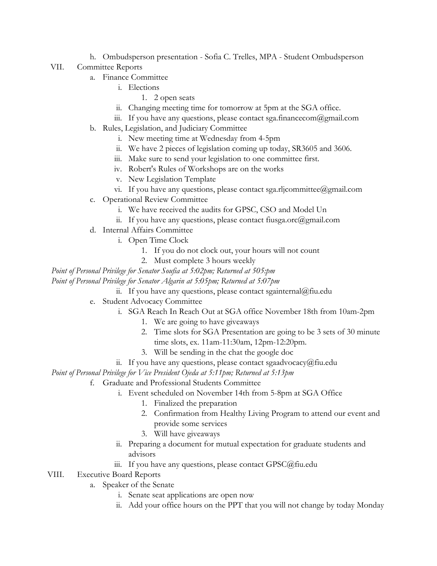h. Ombudsperson presentation - Sofia C. Trelles, MPA - Student Ombudsperson

#### VII. Committee Reports

- a. Finance Committee
	- i. Elections
		- 1. 2 open seats
	- ii. Changing meeting time for tomorrow at 5pm at the SGA office.
	- iii. If you have any questions, please contact sga.financecom@gmail.com
- b. Rules, Legislation, and Judiciary Committee
	- i. New meeting time at Wednesday from 4-5pm
	- ii. We have 2 pieces of legislation coming up today, SR3605 and 3606.
	- iii. Make sure to send your legislation to one committee first.
	- iv. Robert's Rules of Workshops are on the works
	- v. New Legislation Template
	- vi. If you have any questions, please contact sga.rljcommittee@gmail.com
- c. Operational Review Committee
	- i. We have received the audits for GPSC, CSO and Model Un
	- ii. If you have any questions, please contact fiusga.orc@gmail.com
- d. Internal Affairs Committee
	- i. Open Time Clock
		- 1. If you do not clock out, your hours will not count
		- 2. Must complete 3 hours weekly

*Point of Personal Privilege for Senator Soufia at 5:02pm; Returned at 505:pm*

*Point of Personal Privilege for Senator Algarin at 5:05pm; Returned at 5:07pm*

- ii. If you have any questions, please contact sgainternal@fiu.edu
- e. Student Advocacy Committee
	- i. SGA Reach In Reach Out at SGA office November 18th from 10am-2pm
		- 1. We are going to have giveaways
		- 2. Time slots for SGA Presentation are going to be 3 sets of 30 minute time slots, ex. 11am-11:30am, 12pm-12:20pm.
		- 3. Will be sending in the chat the google doc
	- ii. If you have any questions, please contact sgaadvocacy@fiu.edu

*Point of Personal Privilege for Vice President Ojeda at 5:11pm; Returned at 5:13pm*

- f. Graduate and Professional Students Committee
	- i. Event scheduled on November 14th from 5-8pm at SGA Office
		- 1. Finalized the preparation
		- 2. Confirmation from Healthy Living Program to attend our event and provide some services
		- 3. Will have giveaways
	- ii. Preparing a document for mutual expectation for graduate students and advisors
	- iii. If you have any questions, please contact GPSC@fiu.edu

## VIII. Executive Board Reports

- a. Speaker of the Senate
	- i. Senate seat applications are open now
	- ii. Add your office hours on the PPT that you will not change by today Monday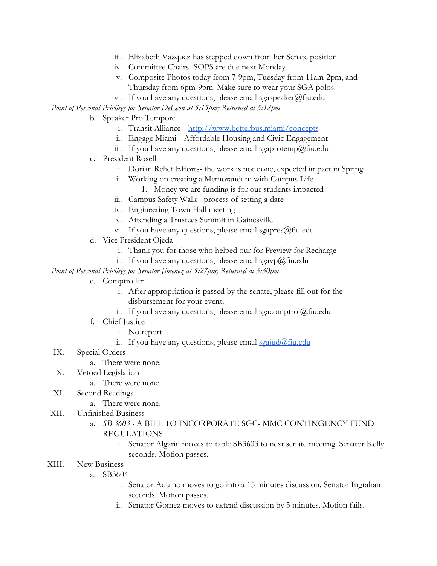- iii. Elizabeth Vazquez has stepped down from her Senate position
- iv. Committee Chairs- SOPS are due next Monday
- v. Composite Photos today from 7-9pm, Tuesday from 11am-2pm, and Thursday from 6pm-9pm. Make sure to wear your SGA polos.
- vi. If you have any questions, please email sgaspeaker@fiu.edu

*Point of Personal Privilege for Senator DeLeon at 5:15pm; Returned at 5:18pm*

- b. Speaker Pro Tempore
	- i. Transit Alliance-- [http://www.betterbus.miami/concepts](https://urldefense.proofpoint.com/v2/url?u=http-3A__www.betterbus.miami_concepts&d=DwMFaQ&c=lhMMI368wojMYNABHh1gQQ&r=XIsR4UU5FjdERKMEGgjc5uybW15TQJAQx3uRhTliQ94&m=1Vud8oHQmKq5_yJTmqHMqChLQx5PgfsuVoJfcT2w-wA&s=UCvvn-cyAg3zGYN8OYvJaLk4qNyqgMWUKu5tg7uBEpg&e=)
	- ii. Engage Miami-- Affordable Housing and Civic Engagement
	- iii. If you have any questions, please email sgaprotemp@fiu.edu
- c. President Rosell
	- i. Dorian Relief Efforts- the work is not done, expected impact in Spring
	- ii. Working on creating a Memorandum with Campus Life
		- 1. Money we are funding is for our students impacted
	- iii. Campus Safety Walk process of setting a date
	- iv. Engineering Town Hall meeting
	- v. Attending a Trustees Summit in Gainesville
	- vi. If you have any questions, please email sgapres $@$ fiu.edu
- d. Vice President Ojeda
	- i. Thank you for those who helped our for Preview for Recharge
	- ii. If you have any questions, please email sgavp@fiu.edu

*Point of Personal Privilege for Senator Jimenez at 5:27pm; Returned at 5:30pm*

- e. Comptroller
	- i. After appropriation is passed by the senate, please fill out for the disbursement for your event.
	- ii. If you have any questions, please email sgacomptrol@fiu.edu
- f. Chief Justice
	- i. No report
	- ii. If you have any questions, please email  $sgaiud@fiu.edu$
- IX. Special Orders
	- a. There were none.
- X. Vetoed Legislation
	- a. There were none.
- XI. Second Readings
	- a. There were none.
- XII. Unfinished Business
	- a. *SB 3603* A BILL TO INCORPORATE SGC- MMC CONTINGENCY FUND REGULATIONS
		- i. Senator Algarin moves to table SB3603 to next senate meeting. Senator Kelly seconds. Motion passes.
- XIII. New Business
	- a. SB3604
		- i. Senator Aquino moves to go into a 15 minutes discussion. Senator Ingraham seconds. Motion passes.
		- ii. Senator Gomez moves to extend discussion by 5 minutes. Motion fails.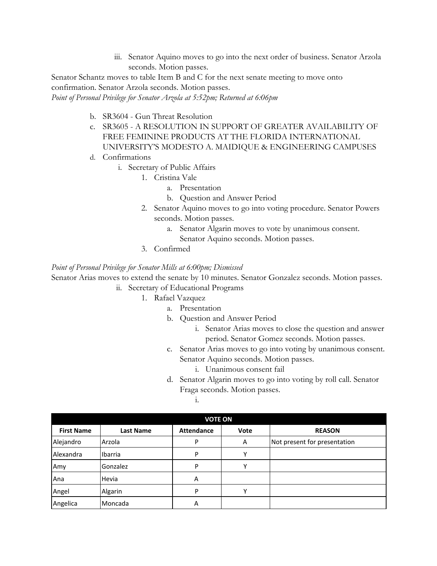iii. Senator Aquino moves to go into the next order of business. Senator Arzola seconds. Motion passes.

Senator Schantz moves to table Item B and C for the next senate meeting to move onto confirmation. Senator Arzola seconds. Motion passes.

*Point of Personal Privilege for Senator Arzola at 5:52pm; Returned at 6:06pm*

- b. SR3604 Gun Threat Resolution
- c. SR3605 A RESOLUTION IN SUPPORT OF GREATER AVAILABILITY OF FREE FEMININE PRODUCTS AT THE FLORIDA INTERNATIONAL UNIVERSITY'S MODESTO A. MAIDIQUE & ENGINEERING CAMPUSES
- d. Confirmations
	- i. Secretary of Public Affairs
		- 1. Cristina Vale
			- a. Presentation
			- b. Question and Answer Period
		- 2. Senator Aquino moves to go into voting procedure. Senator Powers seconds. Motion passes.
			- a. Senator Algarin moves to vote by unanimous consent. Senator Aquino seconds. Motion passes.
		- 3. Confirmed

#### *Point of Personal Privilege for Senator Mills at 6:00pm; Dismissed*

Senator Arias moves to extend the senate by 10 minutes. Senator Gonzalez seconds. Motion passes.

- ii. Secretary of Educational Programs
	- 1. Rafael Vazquez
		- a. Presentation
		- b. Question and Answer Period
			- i. Senator Arias moves to close the question and answer period. Senator Gomez seconds. Motion passes.
		- c. Senator Arias moves to go into voting by unanimous consent. Senator Aquino seconds. Motion passes.
			- i. Unanimous consent fail
		- d. Senator Algarin moves to go into voting by roll call. Senator Fraga seconds. Motion passes.

i.

| <b>VOTE ON</b>    |           |                   |      |                              |
|-------------------|-----------|-------------------|------|------------------------------|
| <b>First Name</b> | Last Name | <b>Attendance</b> | Vote | <b>REASON</b>                |
| Alejandro         | Arzola    | P                 | Α    | Not present for presentation |
| Alexandra         | Ibarria   | P                 |      |                              |
| Amy               | Gonzalez  | P                 |      |                              |
| Ana               | Hevia     | Α                 |      |                              |
| Angel             | Algarin   | P                 | v    |                              |
| Angelica          | Moncada   | А                 |      |                              |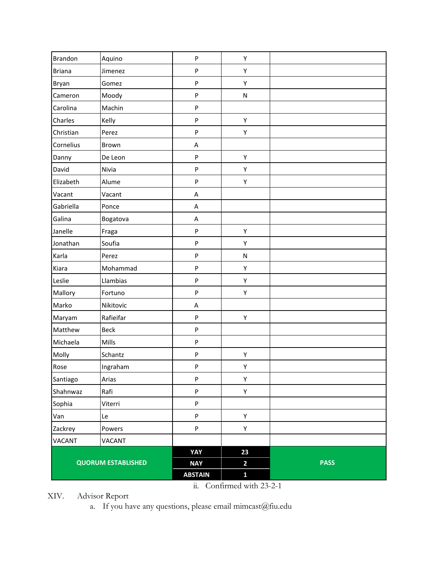| <b>Brandon</b>            | Aquino      | P              | Υ            |             |
|---------------------------|-------------|----------------|--------------|-------------|
| <b>Briana</b>             | Jimenez     | P              | Υ            |             |
| Bryan                     | Gomez       | P              | Υ            |             |
| Cameron                   | Moody       | P              | ${\sf N}$    |             |
| Carolina                  | Machin      | ${\sf P}$      |              |             |
| Charles                   | Kelly       | P              | Υ            |             |
| Christian                 | Perez       | P              | Υ            |             |
| Cornelius                 | Brown       | A              |              |             |
| Danny                     | De Leon     | P              | Υ            |             |
| David                     | Nivia       | P              | Υ            |             |
| Elizabeth                 | Alume       | P              | Υ            |             |
| Vacant                    | Vacant      | $\mathsf A$    |              |             |
| Gabriella                 | Ponce       | A              |              |             |
| Galina                    | Bogatova    | A              |              |             |
| Janelle                   | Fraga       | ${\sf P}$      | Υ            |             |
| Jonathan                  | Soufia      | P              | Υ            |             |
| Karla                     | Perez       | P              | ${\sf N}$    |             |
| Kiara                     | Mohammad    | P              | Υ            |             |
| Leslie                    | Llambias    | P              | Υ            |             |
| Mallory                   | Fortuno     | P              | Υ            |             |
| Marko                     | Nikitovic   | A              |              |             |
| Maryam                    | Rafieifar   | P              | Υ            |             |
| Matthew                   | <b>Beck</b> | P              |              |             |
| Michaela                  | Mills       | P              |              |             |
| Molly                     | Schantz     | P              | Υ            |             |
| Rose                      | Ingraham    | P              | Υ            |             |
| Santiago                  | Arias       | P              | Υ            |             |
| Shahnwaz                  | Rafi        | P              | Υ            |             |
| Sophia                    | Viterri     | P              |              |             |
| Van                       | Le          | P              | Υ            |             |
| Zackrey                   | Powers      | ${\sf P}$      | Υ            |             |
| VACANT                    | VACANT      |                |              |             |
|                           |             | YAY            | 23           |             |
| <b>QUORUM ESTABLISHED</b> |             | <b>NAY</b>     | $\mathbf{2}$ | <b>PASS</b> |
|                           |             | <b>ABSTAIN</b> | $\mathbf{1}$ |             |

ii. Confirmed with 23-2-1

XIV. Advisor Report

a. If you have any questions, please email mimcast@fiu.edu